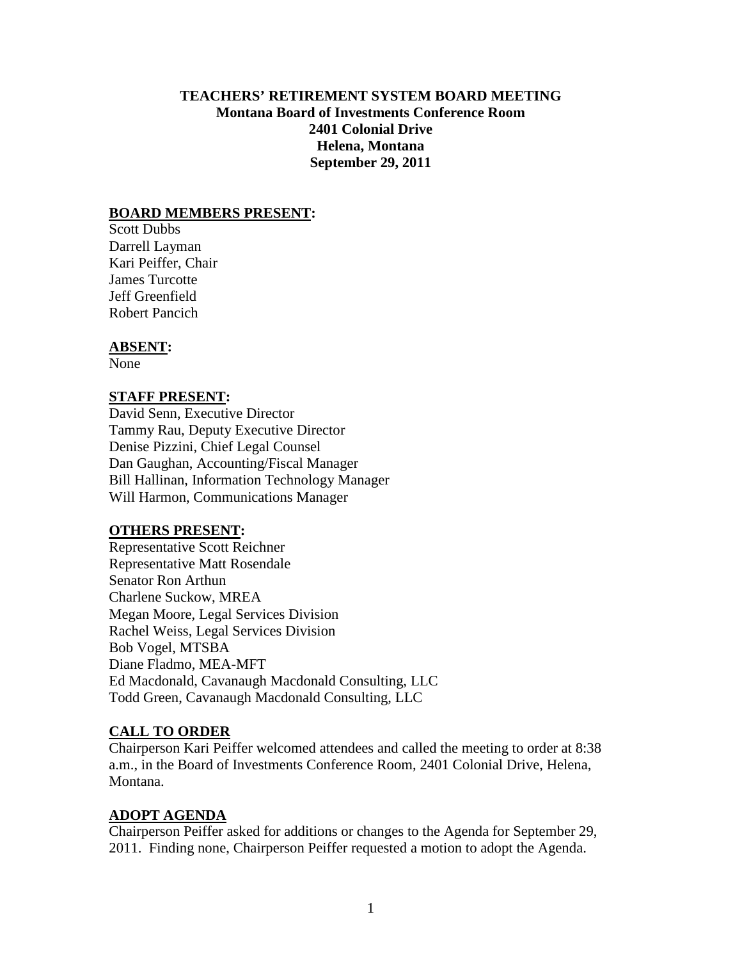### **TEACHERS' RETIREMENT SYSTEM BOARD MEETING Montana Board of Investments Conference Room 2401 Colonial Drive Helena, Montana September 29, 2011**

#### **BOARD MEMBERS PRESENT:**

Scott Dubbs Darrell Layman Kari Peiffer, Chair James Turcotte Jeff Greenfield Robert Pancich

#### **ABSENT:**

None

#### **STAFF PRESENT:**

David Senn, Executive Director Tammy Rau, Deputy Executive Director Denise Pizzini, Chief Legal Counsel Dan Gaughan, Accounting/Fiscal Manager Bill Hallinan, Information Technology Manager Will Harmon, Communications Manager

### **OTHERS PRESENT:**

Representative Scott Reichner Representative Matt Rosendale Senator Ron Arthun Charlene Suckow, MREA Megan Moore, Legal Services Division Rachel Weiss, Legal Services Division Bob Vogel, MTSBA Diane Fladmo, MEA-MFT Ed Macdonald, Cavanaugh Macdonald Consulting, LLC Todd Green, Cavanaugh Macdonald Consulting, LLC

#### **CALL TO ORDER**

Chairperson Kari Peiffer welcomed attendees and called the meeting to order at 8:38 a.m., in the Board of Investments Conference Room, 2401 Colonial Drive, Helena, Montana.

#### **ADOPT AGENDA**

Chairperson Peiffer asked for additions or changes to the Agenda for September 29, 2011. Finding none, Chairperson Peiffer requested a motion to adopt the Agenda.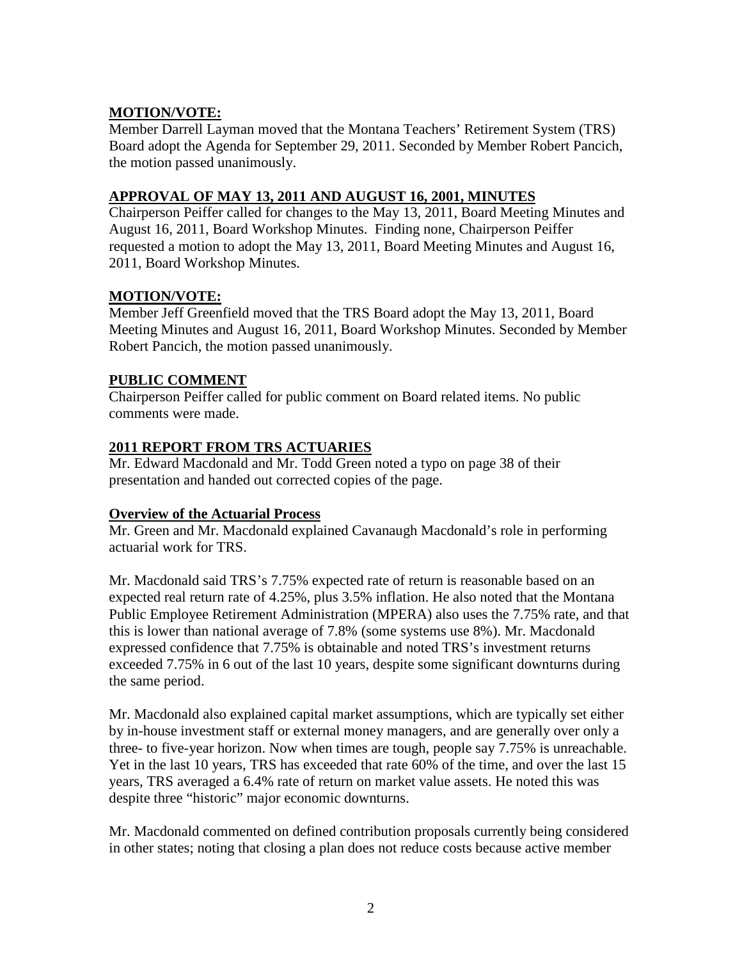## **MOTION/VOTE:**

Member Darrell Layman moved that the Montana Teachers' Retirement System (TRS) Board adopt the Agenda for September 29, 2011. Seconded by Member Robert Pancich, the motion passed unanimously.

### **APPROVAL OF MAY 13, 2011 AND AUGUST 16, 2001, MINUTES**

Chairperson Peiffer called for changes to the May 13, 2011, Board Meeting Minutes and August 16, 2011, Board Workshop Minutes. Finding none, Chairperson Peiffer requested a motion to adopt the May 13, 2011, Board Meeting Minutes and August 16, 2011, Board Workshop Minutes.

### **MOTION/VOTE:**

Member Jeff Greenfield moved that the TRS Board adopt the May 13, 2011, Board Meeting Minutes and August 16, 2011, Board Workshop Minutes. Seconded by Member Robert Pancich, the motion passed unanimously.

### **PUBLIC COMMENT**

Chairperson Peiffer called for public comment on Board related items. No public comments were made.

## **2011 REPORT FROM TRS ACTUARIES**

Mr. Edward Macdonald and Mr. Todd Green noted a typo on page 38 of their presentation and handed out corrected copies of the page.

### **Overview of the Actuarial Process**

Mr. Green and Mr. Macdonald explained Cavanaugh Macdonald's role in performing actuarial work for TRS.

Mr. Macdonald said TRS's 7.75% expected rate of return is reasonable based on an expected real return rate of 4.25%, plus 3.5% inflation. He also noted that the Montana Public Employee Retirement Administration (MPERA) also uses the 7.75% rate, and that this is lower than national average of 7.8% (some systems use 8%). Mr. Macdonald expressed confidence that 7.75% is obtainable and noted TRS's investment returns exceeded 7.75% in 6 out of the last 10 years, despite some significant downturns during the same period.

Mr. Macdonald also explained capital market assumptions, which are typically set either by in-house investment staff or external money managers, and are generally over only a three- to five-year horizon. Now when times are tough, people say 7.75% is unreachable. Yet in the last 10 years, TRS has exceeded that rate 60% of the time, and over the last 15 years, TRS averaged a 6.4% rate of return on market value assets. He noted this was despite three "historic" major economic downturns.

Mr. Macdonald commented on defined contribution proposals currently being considered in other states; noting that closing a plan does not reduce costs because active member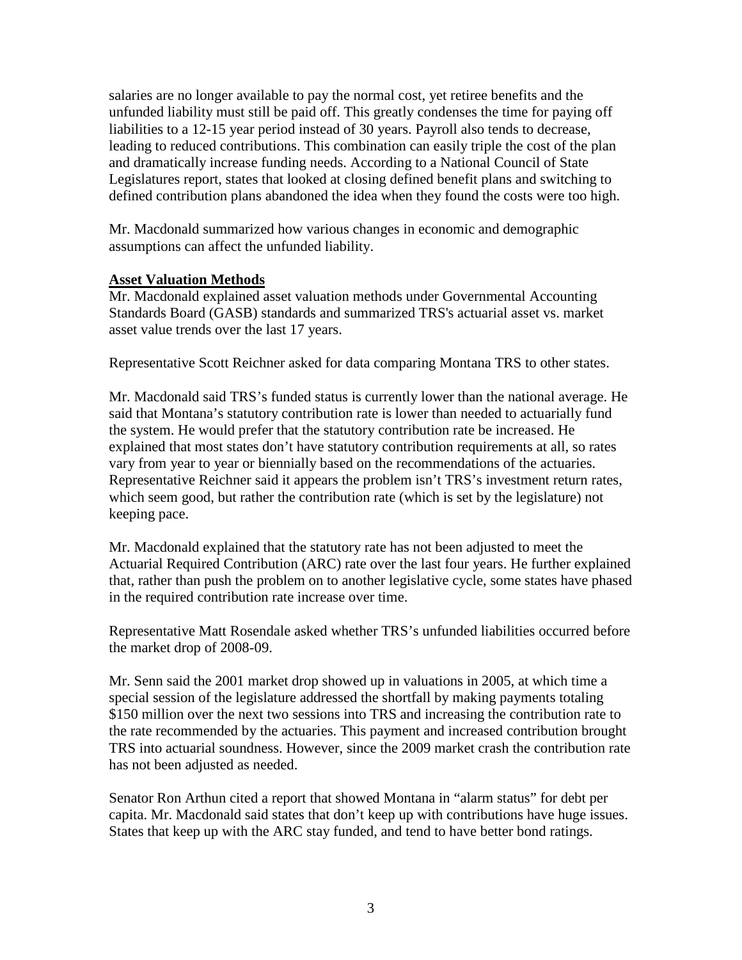salaries are no longer available to pay the normal cost, yet retiree benefits and the unfunded liability must still be paid off. This greatly condenses the time for paying off liabilities to a 12-15 year period instead of 30 years. Payroll also tends to decrease, leading to reduced contributions. This combination can easily triple the cost of the plan and dramatically increase funding needs. According to a National Council of State Legislatures report, states that looked at closing defined benefit plans and switching to defined contribution plans abandoned the idea when they found the costs were too high.

Mr. Macdonald summarized how various changes in economic and demographic assumptions can affect the unfunded liability.

#### **Asset Valuation Methods**

Mr. Macdonald explained asset valuation methods under Governmental Accounting Standards Board (GASB) standards and summarized TRS's actuarial asset vs. market asset value trends over the last 17 years.

Representative Scott Reichner asked for data comparing Montana TRS to other states.

Mr. Macdonald said TRS's funded status is currently lower than the national average. He said that Montana's statutory contribution rate is lower than needed to actuarially fund the system. He would prefer that the statutory contribution rate be increased. He explained that most states don't have statutory contribution requirements at all, so rates vary from year to year or biennially based on the recommendations of the actuaries. Representative Reichner said it appears the problem isn't TRS's investment return rates, which seem good, but rather the contribution rate (which is set by the legislature) not keeping pace.

Mr. Macdonald explained that the statutory rate has not been adjusted to meet the Actuarial Required Contribution (ARC) rate over the last four years. He further explained that, rather than push the problem on to another legislative cycle, some states have phased in the required contribution rate increase over time.

Representative Matt Rosendale asked whether TRS's unfunded liabilities occurred before the market drop of 2008-09.

Mr. Senn said the 2001 market drop showed up in valuations in 2005, at which time a special session of the legislature addressed the shortfall by making payments totaling \$150 million over the next two sessions into TRS and increasing the contribution rate to the rate recommended by the actuaries. This payment and increased contribution brought TRS into actuarial soundness. However, since the 2009 market crash the contribution rate has not been adjusted as needed.

Senator Ron Arthun cited a report that showed Montana in "alarm status" for debt per capita. Mr. Macdonald said states that don't keep up with contributions have huge issues. States that keep up with the ARC stay funded, and tend to have better bond ratings.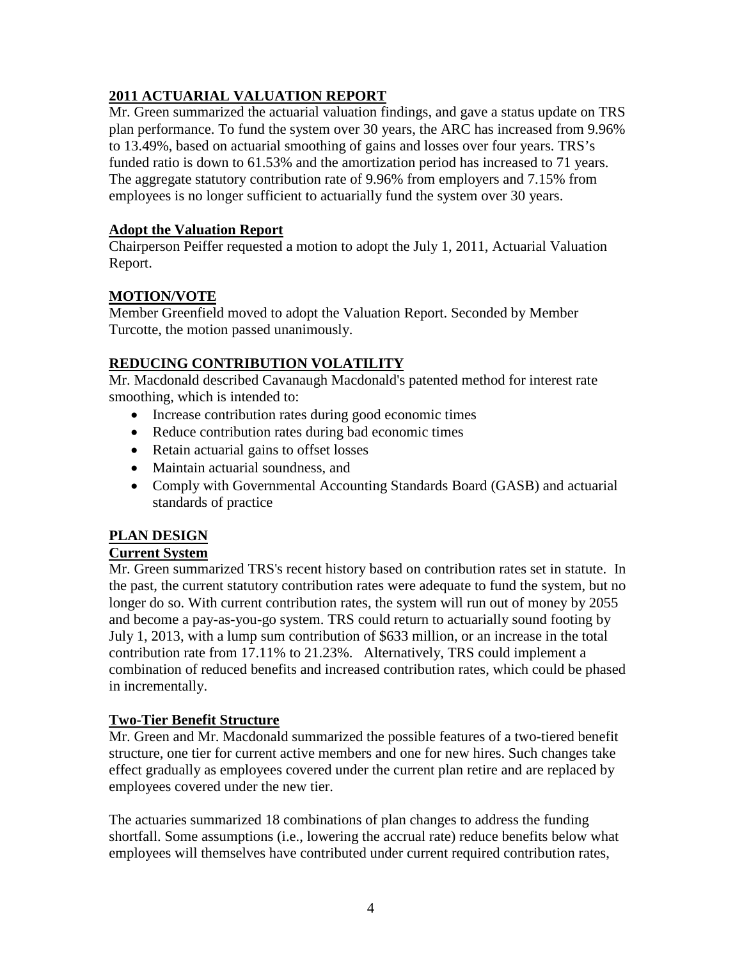## **2011 ACTUARIAL VALUATION REPORT**

Mr. Green summarized the actuarial valuation findings, and gave a status update on TRS plan performance. To fund the system over 30 years, the ARC has increased from 9.96% to 13.49%, based on actuarial smoothing of gains and losses over four years. TRS's funded ratio is down to 61.53% and the amortization period has increased to 71 years. The aggregate statutory contribution rate of 9.96% from employers and 7.15% from employees is no longer sufficient to actuarially fund the system over 30 years.

### **Adopt the Valuation Report**

Chairperson Peiffer requested a motion to adopt the July 1, 2011, Actuarial Valuation Report.

## **MOTION/VOTE**

Member Greenfield moved to adopt the Valuation Report. Seconded by Member Turcotte, the motion passed unanimously.

# **REDUCING CONTRIBUTION VOLATILITY**

Mr. Macdonald described Cavanaugh Macdonald's patented method for interest rate smoothing, which is intended to:

- Increase contribution rates during good economic times
- Reduce contribution rates during bad economic times
- Retain actuarial gains to offset losses
- Maintain actuarial soundness, and
- Comply with Governmental Accounting Standards Board (GASB) and actuarial standards of practice

# **PLAN DESIGN**

## **Current System**

Mr. Green summarized TRS's recent history based on contribution rates set in statute. In the past, the current statutory contribution rates were adequate to fund the system, but no longer do so. With current contribution rates, the system will run out of money by 2055 and become a pay-as-you-go system. TRS could return to actuarially sound footing by July 1, 2013, with a lump sum contribution of \$633 million, or an increase in the total contribution rate from 17.11% to 21.23%. Alternatively, TRS could implement a combination of reduced benefits and increased contribution rates, which could be phased in incrementally.

### **Two-Tier Benefit Structure**

Mr. Green and Mr. Macdonald summarized the possible features of a two-tiered benefit structure, one tier for current active members and one for new hires. Such changes take effect gradually as employees covered under the current plan retire and are replaced by employees covered under the new tier.

The actuaries summarized 18 combinations of plan changes to address the funding shortfall. Some assumptions (i.e., lowering the accrual rate) reduce benefits below what employees will themselves have contributed under current required contribution rates,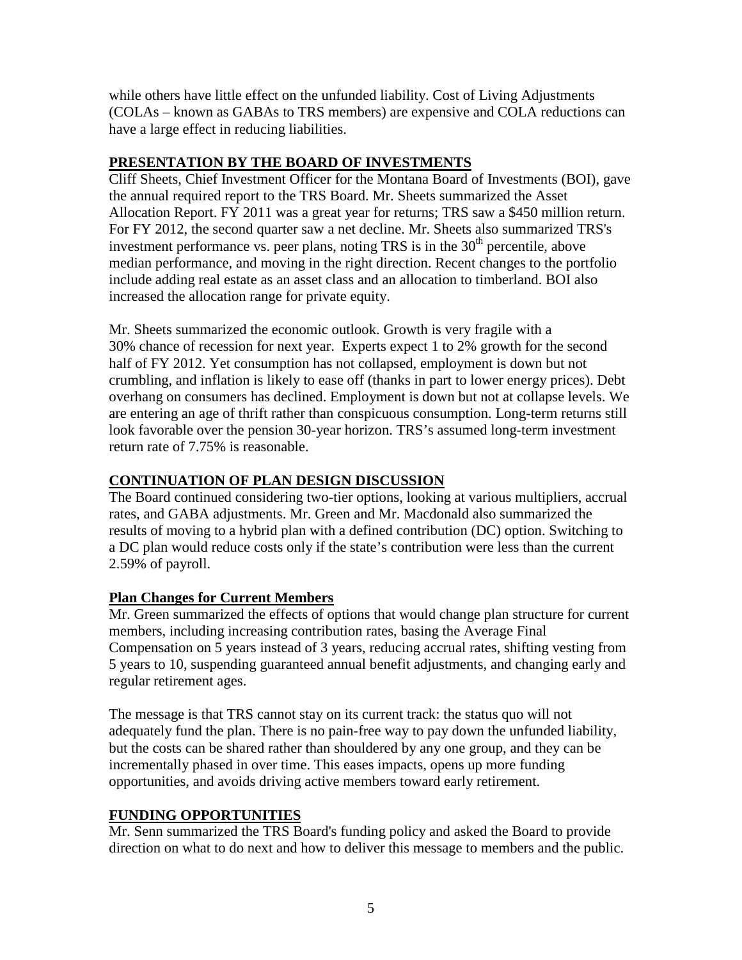while others have little effect on the unfunded liability. Cost of Living Adjustments (COLAs – known as GABAs to TRS members) are expensive and COLA reductions can have a large effect in reducing liabilities.

## **PRESENTATION BY THE BOARD OF INVESTMENTS**

Cliff Sheets, Chief Investment Officer for the Montana Board of Investments (BOI), gave the annual required report to the TRS Board. Mr. Sheets summarized the Asset Allocation Report. FY 2011 was a great year for returns; TRS saw a \$450 million return. For FY 2012, the second quarter saw a net decline. Mr. Sheets also summarized TRS's investment performance vs. peer plans, noting TRS is in the  $30<sup>th</sup>$  percentile, above median performance, and moving in the right direction. Recent changes to the portfolio include adding real estate as an asset class and an allocation to timberland. BOI also increased the allocation range for private equity.

Mr. Sheets summarized the economic outlook. Growth is very fragile with a 30% chance of recession for next year. Experts expect 1 to 2% growth for the second half of FY 2012. Yet consumption has not collapsed, employment is down but not crumbling, and inflation is likely to ease off (thanks in part to lower energy prices). Debt overhang on consumers has declined. Employment is down but not at collapse levels. We are entering an age of thrift rather than conspicuous consumption. Long-term returns still look favorable over the pension 30-year horizon. TRS's assumed long-term investment return rate of 7.75% is reasonable.

## **CONTINUATION OF PLAN DESIGN DISCUSSION**

The Board continued considering two-tier options, looking at various multipliers, accrual rates, and GABA adjustments. Mr. Green and Mr. Macdonald also summarized the results of moving to a hybrid plan with a defined contribution (DC) option. Switching to a DC plan would reduce costs only if the state's contribution were less than the current 2.59% of payroll.

## **Plan Changes for Current Members**

Mr. Green summarized the effects of options that would change plan structure for current members, including increasing contribution rates, basing the Average Final Compensation on 5 years instead of 3 years, reducing accrual rates, shifting vesting from 5 years to 10, suspending guaranteed annual benefit adjustments, and changing early and regular retirement ages.

The message is that TRS cannot stay on its current track: the status quo will not adequately fund the plan. There is no pain-free way to pay down the unfunded liability, but the costs can be shared rather than shouldered by any one group, and they can be incrementally phased in over time. This eases impacts, opens up more funding opportunities, and avoids driving active members toward early retirement.

## **FUNDING OPPORTUNITIES**

Mr. Senn summarized the TRS Board's funding policy and asked the Board to provide direction on what to do next and how to deliver this message to members and the public.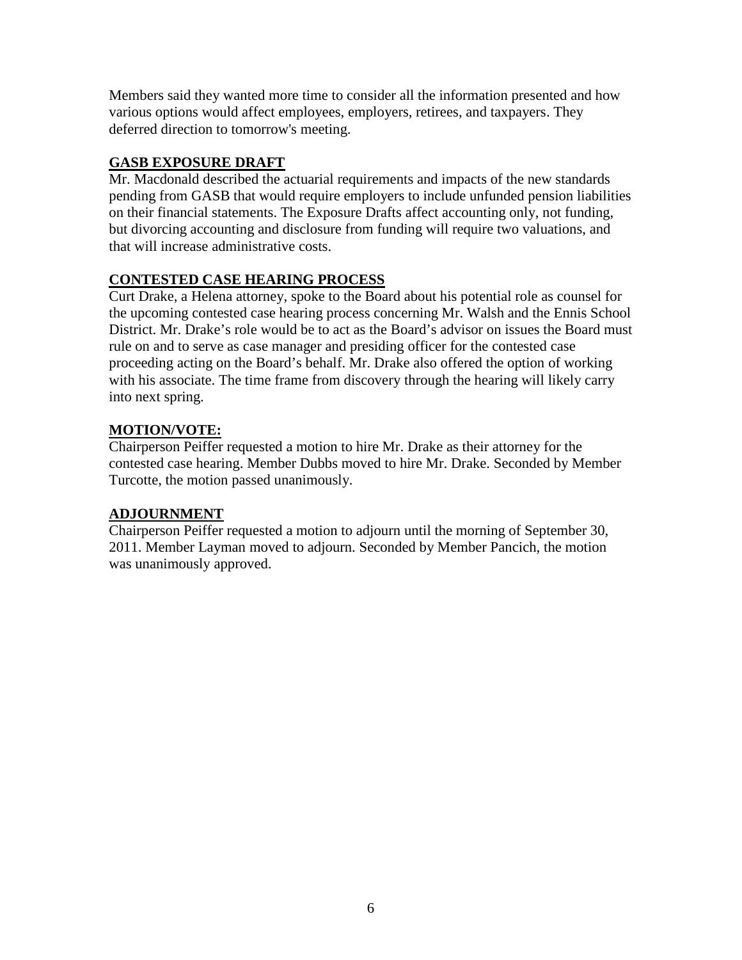Members said they wanted more time to consider all the information presented and how various options would affect employees, employers, retirees, and taxpayers. They deferred direction to tomorrow's meeting.

## **GASB EXPOSURE DRAFT**

Mr. Macdonald described the actuarial requirements and impacts of the new standards pending from GASB that would require employers to include unfunded pension liabilities on their financial statements. The Exposure Drafts affect accounting only, not funding, but divorcing accounting and disclosure from funding will require two valuations, and that will increase administrative costs.

## **CONTESTED CASE HEARING PROCESS**

Curt Drake, a Helena attorney, spoke to the Board about his potential role as counsel for the upcoming contested case hearing process concerning Mr. Walsh and the Ennis School District. Mr. Drake's role would be to act as the Board's advisor on issues the Board must rule on and to serve as case manager and presiding officer for the contested case proceeding acting on the Board's behalf. Mr. Drake also offered the option of working with his associate. The time frame from discovery through the hearing will likely carry into next spring.

## **MOTION/VOTE:**

Chairperson Peiffer requested a motion to hire Mr. Drake as their attorney for the contested case hearing. Member Dubbs moved to hire Mr. Drake. Seconded by Member Turcotte, the motion passed unanimously.

## **ADJOURNMENT**

Chairperson Peiffer requested a motion to adjourn until the morning of September 30, 2011. Member Layman moved to adjourn. Seconded by Member Pancich, the motion was unanimously approved.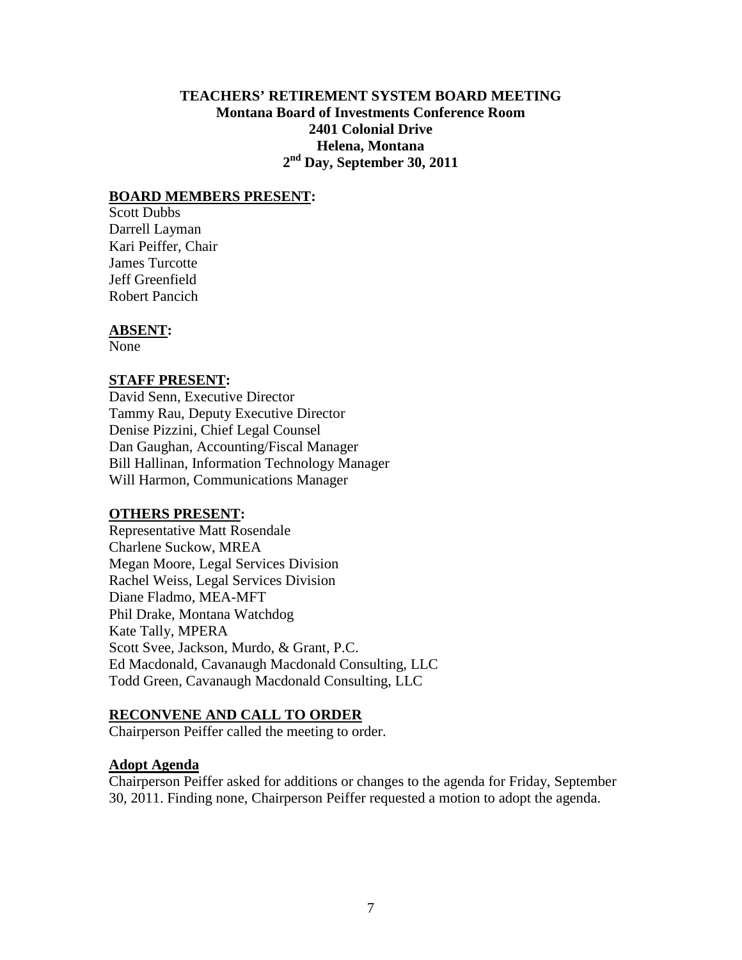### **TEACHERS' RETIREMENT SYSTEM BOARD MEETING Montana Board of Investments Conference Room 2401 Colonial Drive Helena, Montana 2nd Day, September 30, 2011**

#### **BOARD MEMBERS PRESENT:**

Scott Dubbs Darrell Layman Kari Peiffer, Chair James Turcotte Jeff Greenfield Robert Pancich

#### **ABSENT:**

None

#### **STAFF PRESENT:**

David Senn, Executive Director Tammy Rau, Deputy Executive Director Denise Pizzini, Chief Legal Counsel Dan Gaughan, Accounting/Fiscal Manager Bill Hallinan, Information Technology Manager Will Harmon, Communications Manager

#### **OTHERS PRESENT:**

Representative Matt Rosendale Charlene Suckow, MREA Megan Moore, Legal Services Division Rachel Weiss, Legal Services Division Diane Fladmo, MEA-MFT Phil Drake, Montana Watchdog Kate Tally, MPERA Scott Svee, Jackson, Murdo, & Grant, P.C. Ed Macdonald, Cavanaugh Macdonald Consulting, LLC Todd Green, Cavanaugh Macdonald Consulting, LLC

#### **RECONVENE AND CALL TO ORDER**

Chairperson Peiffer called the meeting to order.

#### **Adopt Agenda**

Chairperson Peiffer asked for additions or changes to the agenda for Friday, September 30, 2011. Finding none, Chairperson Peiffer requested a motion to adopt the agenda.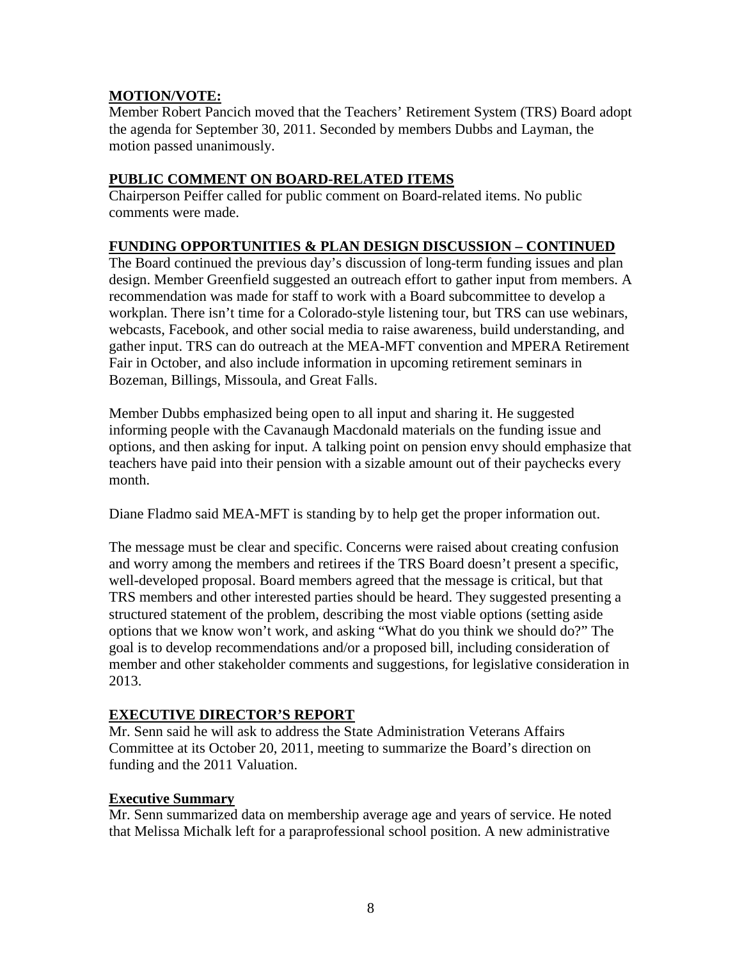### **MOTION/VOTE:**

Member Robert Pancich moved that the Teachers' Retirement System (TRS) Board adopt the agenda for September 30, 2011. Seconded by members Dubbs and Layman, the motion passed unanimously.

### **PUBLIC COMMENT ON BOARD-RELATED ITEMS**

Chairperson Peiffer called for public comment on Board-related items. No public comments were made.

### **FUNDING OPPORTUNITIES & PLAN DESIGN DISCUSSION – CONTINUED**

The Board continued the previous day's discussion of long-term funding issues and plan design. Member Greenfield suggested an outreach effort to gather input from members. A recommendation was made for staff to work with a Board subcommittee to develop a workplan. There isn't time for a Colorado-style listening tour, but TRS can use webinars, webcasts, Facebook, and other social media to raise awareness, build understanding, and gather input. TRS can do outreach at the MEA-MFT convention and MPERA Retirement Fair in October, and also include information in upcoming retirement seminars in Bozeman, Billings, Missoula, and Great Falls.

Member Dubbs emphasized being open to all input and sharing it. He suggested informing people with the Cavanaugh Macdonald materials on the funding issue and options, and then asking for input. A talking point on pension envy should emphasize that teachers have paid into their pension with a sizable amount out of their paychecks every month.

Diane Fladmo said MEA-MFT is standing by to help get the proper information out.

The message must be clear and specific. Concerns were raised about creating confusion and worry among the members and retirees if the TRS Board doesn't present a specific, well-developed proposal. Board members agreed that the message is critical, but that TRS members and other interested parties should be heard. They suggested presenting a structured statement of the problem, describing the most viable options (setting aside options that we know won't work, and asking "What do you think we should do?" The goal is to develop recommendations and/or a proposed bill, including consideration of member and other stakeholder comments and suggestions, for legislative consideration in 2013.

### **EXECUTIVE DIRECTOR'S REPORT**

Mr. Senn said he will ask to address the State Administration Veterans Affairs Committee at its October 20, 2011, meeting to summarize the Board's direction on funding and the 2011 Valuation.

### **Executive Summary**

Mr. Senn summarized data on membership average age and years of service. He noted that Melissa Michalk left for a paraprofessional school position. A new administrative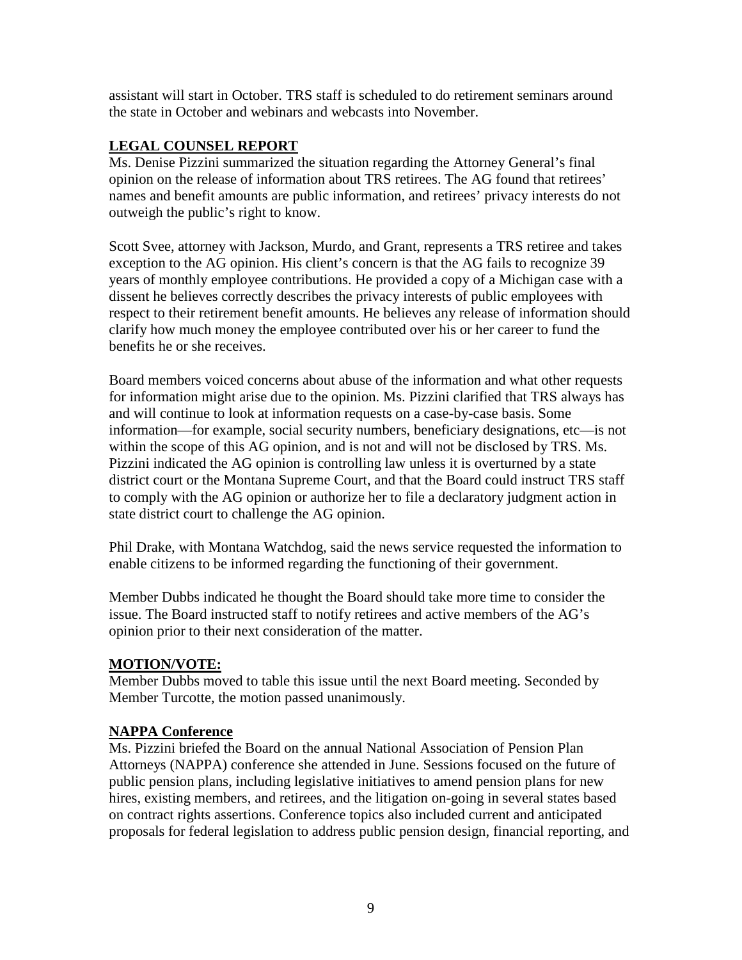assistant will start in October. TRS staff is scheduled to do retirement seminars around the state in October and webinars and webcasts into November.

### **LEGAL COUNSEL REPORT**

Ms. Denise Pizzini summarized the situation regarding the Attorney General's final opinion on the release of information about TRS retirees. The AG found that retirees' names and benefit amounts are public information, and retirees' privacy interests do not outweigh the public's right to know.

Scott Svee, attorney with Jackson, Murdo, and Grant, represents a TRS retiree and takes exception to the AG opinion. His client's concern is that the AG fails to recognize 39 years of monthly employee contributions. He provided a copy of a Michigan case with a dissent he believes correctly describes the privacy interests of public employees with respect to their retirement benefit amounts. He believes any release of information should clarify how much money the employee contributed over his or her career to fund the benefits he or she receives.

Board members voiced concerns about abuse of the information and what other requests for information might arise due to the opinion. Ms. Pizzini clarified that TRS always has and will continue to look at information requests on a case-by-case basis. Some information—for example, social security numbers, beneficiary designations, etc—is not within the scope of this AG opinion, and is not and will not be disclosed by TRS. Ms. Pizzini indicated the AG opinion is controlling law unless it is overturned by a state district court or the Montana Supreme Court, and that the Board could instruct TRS staff to comply with the AG opinion or authorize her to file a declaratory judgment action in state district court to challenge the AG opinion.

Phil Drake, with Montana Watchdog, said the news service requested the information to enable citizens to be informed regarding the functioning of their government.

Member Dubbs indicated he thought the Board should take more time to consider the issue. The Board instructed staff to notify retirees and active members of the AG's opinion prior to their next consideration of the matter.

## **MOTION/VOTE:**

Member Dubbs moved to table this issue until the next Board meeting. Seconded by Member Turcotte, the motion passed unanimously.

### **NAPPA Conference**

Ms. Pizzini briefed the Board on the annual National Association of Pension Plan Attorneys (NAPPA) conference she attended in June. Sessions focused on the future of public pension plans, including legislative initiatives to amend pension plans for new hires, existing members, and retirees, and the litigation on-going in several states based on contract rights assertions. Conference topics also included current and anticipated proposals for federal legislation to address public pension design, financial reporting, and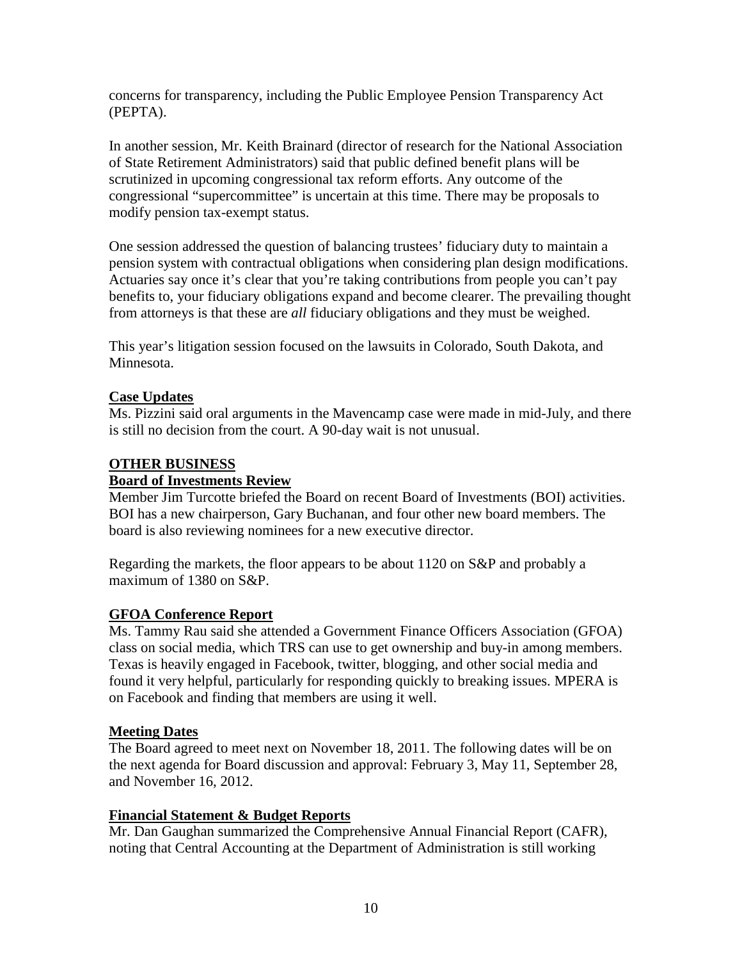concerns for transparency, including the Public Employee Pension Transparency Act (PEPTA).

In another session, Mr. Keith Brainard (director of research for the National Association of State Retirement Administrators) said that public defined benefit plans will be scrutinized in upcoming congressional tax reform efforts. Any outcome of the congressional "supercommittee" is uncertain at this time. There may be proposals to modify pension tax-exempt status.

One session addressed the question of balancing trustees' fiduciary duty to maintain a pension system with contractual obligations when considering plan design modifications. Actuaries say once it's clear that you're taking contributions from people you can't pay benefits to, your fiduciary obligations expand and become clearer. The prevailing thought from attorneys is that these are *all* fiduciary obligations and they must be weighed.

This year's litigation session focused on the lawsuits in Colorado, South Dakota, and Minnesota.

### **Case Updates**

Ms. Pizzini said oral arguments in the Mavencamp case were made in mid-July, and there is still no decision from the court. A 90-day wait is not unusual.

### **OTHER BUSINESS**

### **Board of Investments Review**

Member Jim Turcotte briefed the Board on recent Board of Investments (BOI) activities. BOI has a new chairperson, Gary Buchanan, and four other new board members. The board is also reviewing nominees for a new executive director.

Regarding the markets, the floor appears to be about 1120 on S&P and probably a maximum of 1380 on S&P.

### **GFOA Conference Report**

Ms. Tammy Rau said she attended a Government Finance Officers Association (GFOA) class on social media, which TRS can use to get ownership and buy-in among members. Texas is heavily engaged in Facebook, twitter, blogging, and other social media and found it very helpful, particularly for responding quickly to breaking issues. MPERA is on Facebook and finding that members are using it well.

### **Meeting Dates**

The Board agreed to meet next on November 18, 2011. The following dates will be on the next agenda for Board discussion and approval: February 3, May 11, September 28, and November 16, 2012.

### **Financial Statement & Budget Reports**

Mr. Dan Gaughan summarized the Comprehensive Annual Financial Report (CAFR), noting that Central Accounting at the Department of Administration is still working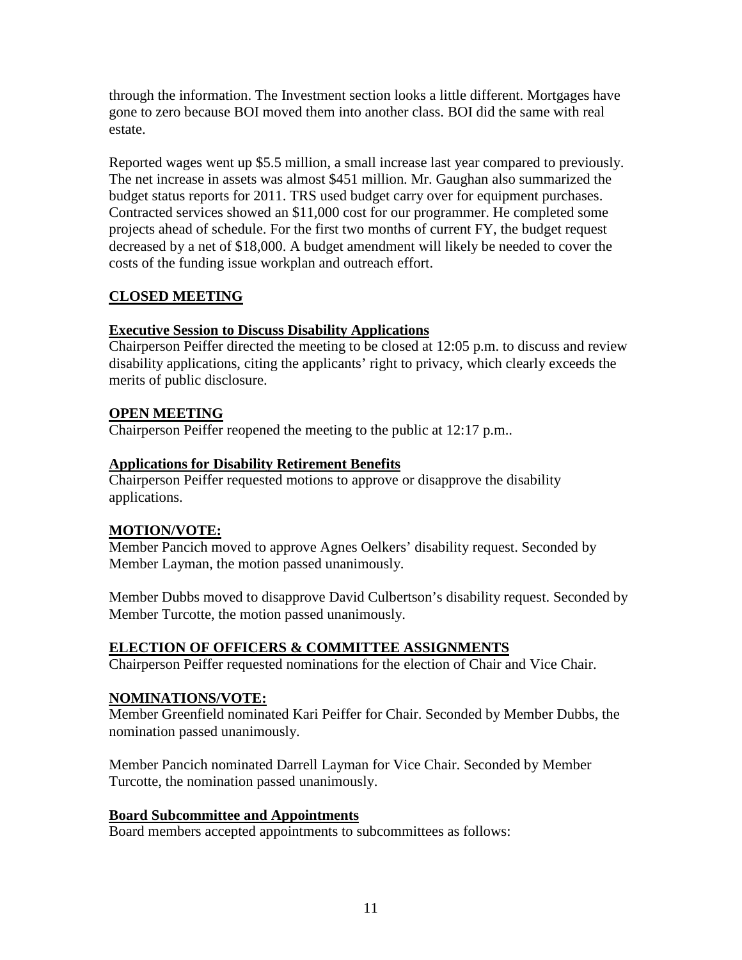through the information. The Investment section looks a little different. Mortgages have gone to zero because BOI moved them into another class. BOI did the same with real estate.

Reported wages went up \$5.5 million, a small increase last year compared to previously. The net increase in assets was almost \$451 million. Mr. Gaughan also summarized the budget status reports for 2011. TRS used budget carry over for equipment purchases. Contracted services showed an \$11,000 cost for our programmer. He completed some projects ahead of schedule. For the first two months of current FY, the budget request decreased by a net of \$18,000. A budget amendment will likely be needed to cover the costs of the funding issue workplan and outreach effort.

## **CLOSED MEETING**

### **Executive Session to Discuss Disability Applications**

Chairperson Peiffer directed the meeting to be closed at 12:05 p.m. to discuss and review disability applications, citing the applicants' right to privacy, which clearly exceeds the merits of public disclosure.

### **OPEN MEETING**

Chairperson Peiffer reopened the meeting to the public at 12:17 p.m..

### **Applications for Disability Retirement Benefits**

Chairperson Peiffer requested motions to approve or disapprove the disability applications.

## **MOTION/VOTE:**

Member Pancich moved to approve Agnes Oelkers' disability request. Seconded by Member Layman, the motion passed unanimously.

Member Dubbs moved to disapprove David Culbertson's disability request. Seconded by Member Turcotte, the motion passed unanimously.

## **ELECTION OF OFFICERS & COMMITTEE ASSIGNMENTS**

Chairperson Peiffer requested nominations for the election of Chair and Vice Chair.

## **NOMINATIONS/VOTE:**

Member Greenfield nominated Kari Peiffer for Chair. Seconded by Member Dubbs, the nomination passed unanimously.

Member Pancich nominated Darrell Layman for Vice Chair. Seconded by Member Turcotte, the nomination passed unanimously.

### **Board Subcommittee and Appointments**

Board members accepted appointments to subcommittees as follows: